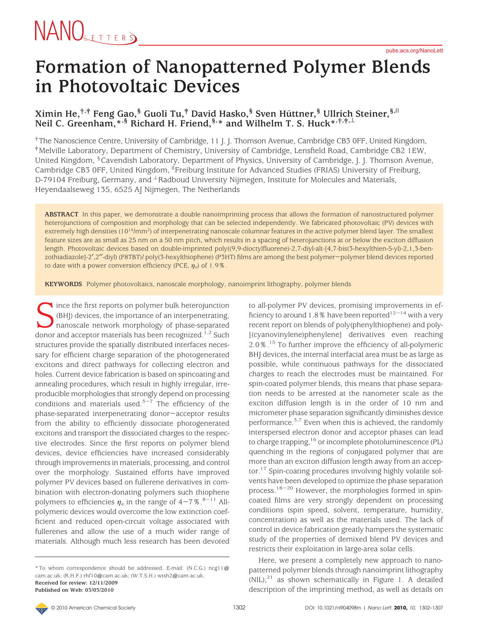#### **Formation of Nanopatterned Polymer Blends in Photovoltaic Devices**

#### $X$ imin He, $^{\dagger,\dagger}$  Feng Gao, $^{\S}$  Guoli Tu, $^{\dagger}$  David Hasko, $^{\S}$  Sven Hüttner, $^{\S}$  Ullrich Steiner, $^{\S,||}$ **Neil C. Greenham,\*,§ Richard H. Friend,§,\* and Wilhelm T. S. Huck\*,†,‡,**<sup>⊥</sup>

† The Nanoscience Centre, University of Cambridge, 11 J. J. Thomson Avenue, Cambridge CB3 0FF, United Kingdom, ‡Melville Laboratory, Department of Chemistry, University of Cambridge, Lensfield Road, Cambridge CB2 1EW, United Kingdom, §Cavendish Laboratory, Department of Physics, University of Cambridge, J. J. Thomson Avenue, Cambridge CB3 0FF, United Kingdom, <sup>Ii</sup>Freiburg Institute for Advanced Studies (FRIAS) University of Freiburg, D-79104 Freiburg, Germany, and <sup>⊥</sup>Radboud University Nijmegen, Institute for Molecules and Materials, Heyendaalseweg 135, 6525 AJ Nijmegen, The Netherlands

**ABSTRACT** In this paper, we demonstrate a double nanoimprinting process that allows the formation of nanostructured polymer heterojunctions of composition and morphology that can be selected independently. We fabricated photovoltaic (PV) devices with extremely high densities (10<sup>14</sup>/mm<sup>2</sup>) of interpenetrating nanoscale columnar features in the active polymer blend layer. The smallest feature sizes are as small as 25 nm on a 50 nm pitch, which results in a spacing of heterojunctions at or below the exciton diffusion length. Photovoltaic devices based on double-imprinted poly((9,9-dioctylfluorene)-2,7-diyl-alt-[4,7-bis(3-hexylthien-5-yl)-2,1,3-benzothiadiazole]-2′,2′′-diyl) (F8TBT)/ poly(3-hexylthiophene) (P3HT) films are among the best polymer-polymer blend devices reported to date with a power conversion efficiency (PCE, *η*e) of 1.9%.

**KEYWORDS** Polymer photovoltaics, nanoscale morphology, nanoimprint lithography, polymer blends

Since the first reports on polymer bulk heterojunction (BHJ) devices, the importance of an interpenetrating, nanoscale network morphology of phase-separated donor and acceptor materials has been recognized.<sup>1,2</sup> Such (BHJ) devices, the importance of an interpenetrating, nanoscale network morphology of phase-separated structures provide the spatially distributed interfaces necessary for efficient charge separation of the photogenerated excitons and direct pathways for collecting electron and holes. Current device fabrication is based on spincoating and annealing procedures, which result in highly irregular, irreproducible morphologies that strongly depend on processing conditions and materials used.<sup> $3-7$ </sup> The efficiency of the phase-separated interpenetrating donor-acceptor results from the ability to efficiently dissociate photogenerated excitons and transport the dissociated charges to the respective electrodes. Since the first reports on polymer blend devices, device efficiencies have increased considerably through improvements in materials, processing, and control over the morphology. Sustained efforts have improved polymer PV devices based on fullerene derivatives in combination with electron-donating polymers such thiophene polymers to efficiencies  $\eta_e$  in the range of  $4-7\%$ .<sup>8-11</sup> Allpolymeric devices would overcome the low extinction coefficient and reduced open-circuit voltage associated with fullerenes and allow the use of a much wider range of materials. Although much less research has been devoted

to all-polymer PV devices, promising improvements in efficiency to around 1.8% have been reported<sup>12-14</sup> with a very recent report on blends of poly(phenylthiophene) and poly- [(cyanovinylene)phenylene] derivatives even reaching 2.0%.<sup>15</sup> To further improve the efficiency of all-polymeric BHJ devices, the internal interfacial area must be as large as possible, while continuous pathways for the dissociated charges to reach the electrodes must be maintained. For spin-coated polymer blends, this means that phase separation needs to be arrested at the nanometer scale as the exciton diffusion length is in the order of 10 nm and micrometer phase separation significantly diminishes device performance.<sup>3,7</sup> Even when this is achieved, the randomly interspersed electron donor and acceptor phases can lead to charge trapping,<sup>16</sup> or incomplete photoluminescence (PL) quenching in the regions of conjugated polymer that are more than an exciton diffusion length away from an acceptor.17 Spin-coating procedures involving highly volatile solvents have been developed to optimize the phase separation process.18-<sup>20</sup> However, the morphologies formed in spincoated films are very strongly dependent on processing conditions (spin speed, solvent, temperature, humidity, concentration) as well as the materials used. The lack of control in device fabrication greatly hampers the systematic study of the properties of demixed blend PV devices and restricts their exploitation in large-area solar cells.

Here, we present a completely new approach to nanopatterned polymer blends through nanoimprint lithography  $(NIL),<sup>21</sup>$  as shown schematically in Figure 1. A detailed description of the imprinting method, as well as details on

<sup>\*</sup> To whom correspondence should be addressed. E-mail: (N.C.G.) ncg11@ cam.ac.uk; (R.H.F.) rhf10@cam.ac.uk; (W.T.S.H.) wtsh2@cam.ac.uk. **Received for review: 12/11/2009 Published on Web: 03/03/2010**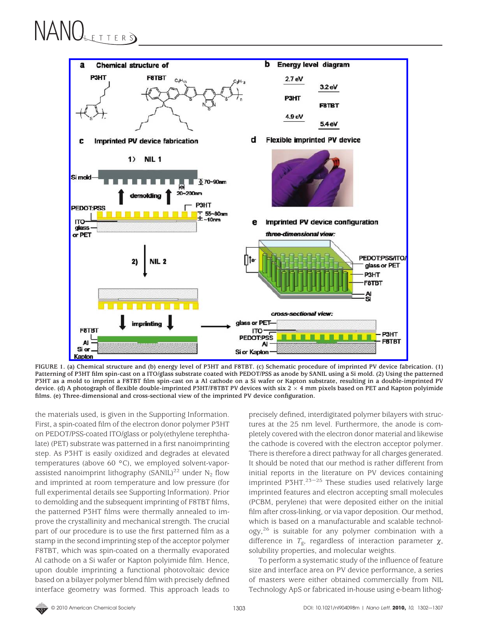# NANOLETTER \$)



**FIGURE 1. (a) Chemical structure and (b) energy level of P3HT and F8TBT. (c) Schematic procedure of imprinted PV device fabrication. (1) Patterning of P3HT film spin-cast on a ITO/glass substrate coated with PEDOT/PSS as anode by SANIL using a Si mold. (2) Using the patterned P3HT as a mold to imprint a F8TBT film spin-cast on a Al cathode on a Si wafer or Kapton substrate, resulting in a double-imprinted PV device. (d) A photograph of flexible double-imprinted P3HT/F8TBT PV devices with six 2** × **4 mm pixels based on PET and Kapton polyimide films. (e) Three-dimensional and cross-sectional view of the imprinted PV device configuration.**

the materials used, is given in the Supporting Information. First, a spin-coated film of the electron donor polymer P3HT on PEDOT/PSS-coated ITO/glass or poly(ethylene terephthalate) (PET) substrate was patterned in a first nanoimprinting step. As P3HT is easily oxidized and degrades at elevated temperatures (above 60 °C), we employed solvent-vaporassisted nanoimprint lithography (SANIL)<sup>22</sup> under N<sub>2</sub> flow and imprinted at room temperature and low pressure (for full experimental details see Supporting Information). Prior to demolding and the subsequent imprinting of F8TBT films, the patterned P3HT films were thermally annealed to improve the crystallinity and mechanical strength. The crucial part of our procedure is to use the first patterned film as a stamp in the second imprinting step of the acceptor polymer F8TBT, which was spin-coated on a thermally evaporated Al cathode on a Si wafer or Kapton polyimide film. Hence, upon double imprinting a functional photovoltaic device based on a bilayer polymer blend film with precisely defined interface geometry was formed. This approach leads to

precisely defined, interdigitated polymer bilayers with structures at the 25 nm level. Furthermore, the anode is completely covered with the electron donor material and likewise the cathode is covered with the electron acceptor polymer. There is therefore a direct pathway for all charges generated. It should be noted that our method is rather different from initial reports in the literature on PV devices containing imprinted P3HT. $23-25$  These studies used relatively large imprinted features and electron accepting small molecules (PCBM, perylene) that were deposited either on the initial film after cross-linking, or via vapor deposition. Our method, which is based on a manufacturable and scalable technology,<sup>26</sup> is suitable for any polymer combination with a difference in  $T_{\rm g}$ , regardless of interaction parameter  $\chi$ , solubility properties, and molecular weights.

To perform a systematic study of the influence of feature size and interface area on PV device performance, a series of masters were either obtained commercially from NIL Technology ApS or fabricated in-house using e-beam lithog-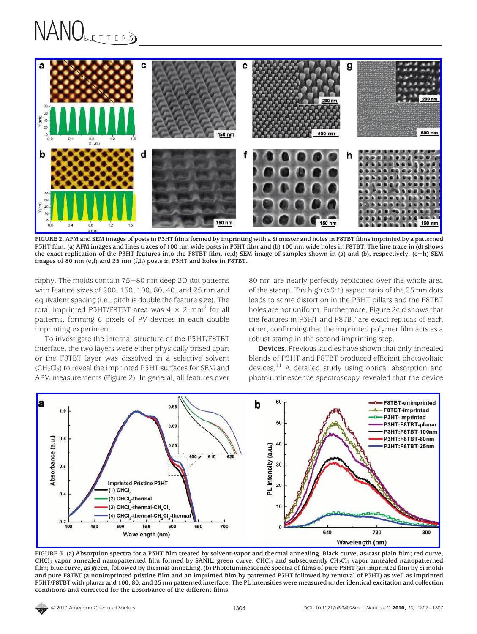#### NANOLETTERS



**FIGURE 2. AFM and SEM images of posts in P3HT films formed by imprinting with a Si master and holes in F8TBT films imprinted by a patterned P3HT film. (a) AFM images and lines traces of 100 nm wide posts in P3HT film and (b) 100 nm wide holes in F8TBT. The line trace in (d) shows the exact replication of the P3HT features into the F8TBT film. (c,d) SEM image of samples shown in (a) and (b), respectively. (e**-**h) SEM images of 80 nm (e,f) and 25 nm (f,h) posts in P3HT and holes in F8TBT.**

raphy. The molds contain 75-80 nm deep 2D dot patterns with feature sizes of 200, 150, 100, 80, 40, and 25 nm and equivalent spacing (i.e., pitch is double the feature size). The total imprinted P3HT/F8TBT area was  $4 \times 2$  mm<sup>2</sup> for all patterns, forming 6 pixels of PV devices in each double imprinting experiment.

To investigate the internal structure of the P3HT/F8TBT interface, the two layers were either physically prised apart or the F8TBT layer was dissolved in a selective solvent  $(CH<sub>2</sub>Cl<sub>2</sub>)$  to reveal the imprinted P3HT surfaces for SEM and AFM measurements (Figure 2). In general, all features over

80 nm are nearly perfectly replicated over the whole area of the stamp. The high (>3:1) aspect ratio of the 25 nm dots leads to some distortion in the P3HT pillars and the F8TBT holes are not uniform. Furthermore, Figure 2c,d shows that the features in P3HT and F8TBT are exact replicas of each other, confirming that the imprinted polymer film acts as a robust stamp in the second imprinting step.

**Devices.** Previous studies have shown that only annealed blends of P3HT and F8TBT produced efficient photovoltaic devices.<sup>11</sup> A detailed study using optical absorption and photoluminescence spectroscopy revealed that the device



**FIGURE 3. (a) Absorption spectra for a P3HT film treated by solvent-vapor and thermal annealing. Black curve, as-cast plain film; red curve, CHCl3 vapor annealed nanopatterned film formed by SANIL; green curve, CHCl3 and subsequently CH2Cl2 vapor annealed nanopatterned film; blue curve, as green, followed by thermal annealing. (b) Photoluminescence spectra of films of pure P3HT (an imprinted film by Si mold) and pure F8TBT (a nonimprinted pristine film and an imprinted film by patterned P3HT followed by removal of P3HT) as well as imprinted P3HT/F8TBT with planar and 100, 80, and 25 nm patterned interface. The PL intensities were measured under identical excitation and collection conditions and corrected for the absorbance of the different films.**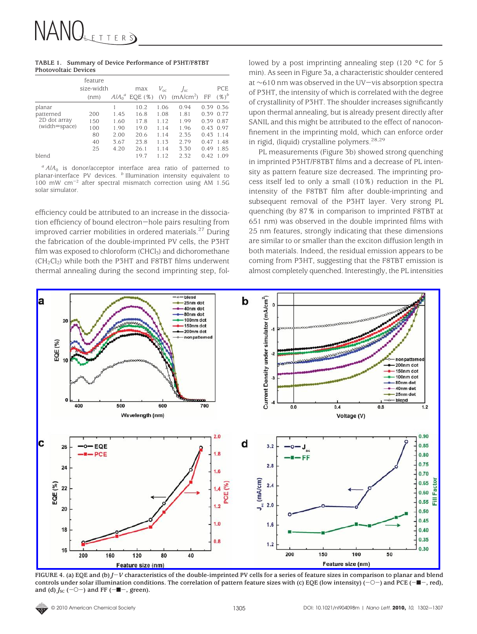|                             | TABLE 1. Summary of Device Performance of P3HT/F8TBT |
|-----------------------------|------------------------------------------------------|
| <b>Photovoltaic Devices</b> |                                                      |

|               | feature<br>size-width<br>(nm) | $A/A_0{}^a$ | max<br>EOE(%) | $V_{\alpha c}$<br>(V) | $I_{\rm sc}$<br>(mA/cm <sup>2</sup> ) | FF   | PCE<br>$(\%)^b$ |
|---------------|-------------------------------|-------------|---------------|-----------------------|---------------------------------------|------|-----------------|
| planar        |                               |             | 10.2          | 1.06                  | 0.94                                  | 0.39 | 0.36            |
| patterned     | 200                           | 1.45        | 16.8          | 1.08                  | 1.81                                  | 0.39 | 0.77            |
| 2D dot array  | 150                           | 1.60        | 17.8          | 1.12                  | 1.99                                  | 0.39 | 0.87            |
| (width=space) | 100                           | 1.90        | 19.0          | 1.14                  | 1.96                                  | 0.43 | 0.97            |
|               | 80                            | 2.00        | 20.6          | 1.14                  | 2.35                                  | 0.43 | 1.14            |
|               | 40                            | 3.67        | 23.8          | 1.13                  | 2.79                                  | 0.47 | 1.48            |
|               | 25                            | 4.20        | 26.1          | 1.14                  | 3.30                                  | 0.49 | 1.85            |
| blend         |                               |             | 19.7          | 1.12                  | 2.32                                  | 0.42 | 1.09            |

 $^a$  *A*/ $A$ <sup>0</sup> is donor/acceptor interface area ratio of patterned to planar-interface PV devices. *<sup>b</sup>* Illumination intensity equivalent to 100 mW  $\text{cm}^{-2}$  after spectral mismatch correction using AM 1.5G solar simulator.

efficiency could be attributed to an increase in the dissociation efficiency of bound electron-hole pairs resulting from improved carrier mobilities in ordered materials.<sup>27</sup> During the fabrication of the double-imprinted PV cells, the P3HT film was exposed to chloroform  $(CHCl<sub>3</sub>)$  and dichoromethane  $(CH_2Cl_2)$  while both the P3HT and F8TBT films underwent thermal annealing during the second imprinting step, followed by a post imprinting annealing step (120 °C for 5 min). As seen in Figure 3a, a characteristic shoulder centered at <sup>∼</sup>610 nm was observed in the UV-vis absorption spectra of P3HT, the intensity of which is correlated with the degree of crystallinity of P3HT. The shoulder increases significantly upon thermal annealing, but is already present directly after SANIL and this might be attributed to the effect of nanoconfinement in the imprinting mold, which can enforce order in rigid, (liquid) crystalline polymers.<sup>28,29</sup>

PL measurements (Figure 3b) showed strong quenching in imprinted P3HT/F8TBT films and a decrease of PL intensity as pattern feature size decreased. The imprinting process itself led to only a small (10%) reduction in the PL intensity of the F8TBT film after double-imprinting and subsequent removal of the P3HT layer. Very strong PL quenching (by 87% in comparison to imprinted F8TBT at 651 nm) was observed in the double imprinted films with 25 nm features, strongly indicating that these dimensions are similar to or smaller than the exciton diffusion length in both materials. Indeed, the residual emission appears to be coming from P3HT, suggesting that the F8TBT emission is almost completely quenched. Interestingly, the PL intensities



**FIGURE 4. (a) EQE and (b)** *<sup>J</sup>*-*<sup>V</sup>* **characteristics of the double-imprinted PV cells for a series of feature sizes in comparison to planar and blend controls under solar illumination conditions. The correlation of pattern feature sizes with (c) EQE (low intensity) (**-O-**) and PCE (**-9-**, red),** and (d)  $J_{SC}$  (-O-) and FF (- $\blacksquare$ -, green).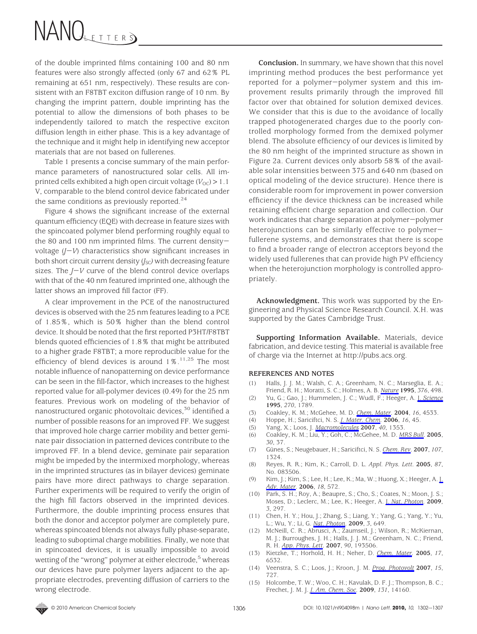## NANOLETTERS

of the double imprinted films containing 100 and 80 nm features were also strongly affected (only 67 and 62% PL remaining at 651 nm, respectively). These results are consistent with an F8TBT exciton diffusion range of 10 nm. By changing the imprint pattern, double imprinting has the potential to allow the dimensions of both phases to be independently tailored to match the respective exciton diffusion length in either phase. This is a key advantage of the technique and it might help in identifying new acceptor materials that are not based on fullerenes.

Table 1 presents a concise summary of the main performance parameters of nanostructured solar cells. All imprinted cells exhibited a high open circuit voltage  $(V_{\text{OC}}) > 1.1$ V, comparable to the blend control device fabricated under the same conditions as previously reported. $24$ 

Figure 4 shows the significant increase of the external quantum efficiency (EQE) with decrease in feature sizes with the spincoated polymer blend performing roughly equal to the 80 and 100 nm imprinted films. The current densityvoltage (*J*-*V*) characteristics show significant increases in both short circuit current density (*J<sub>SC</sub>*) with decreasing feature sizes. The *<sup>J</sup>*-*<sup>V</sup>* curve of the blend control device overlaps with that of the 40 nm featured imprinted one, although the latter shows an improved fill factor (FF).

A clear improvement in the PCE of the nanostructured devices is observed with the 25 nm features leading to a PCE of 1.85%, which is 50% higher than the blend control device. It should be noted that the first reported P3HT/F8TBT blends quoted efficiencies of 1.8% that might be attributed to a higher grade F8TBT; a more reproducible value for the efficiency of blend devices is around  $1\%$ .<sup>11,25</sup> The most notable influence of nanopatterning on device performance can be seen in the fill-factor, which increases to the highest reported value for all-polymer devices (0.49) for the 25 nm features. Previous work on modeling of the behavior of nanostructured organic photovoltaic devices,<sup>30</sup> identified a number of possible reasons for an improved FF. We suggest that improved hole charge carrier mobility and better geminate pair dissociation in patterned devices contribute to the improved FF. In a blend device, geminate pair separation might be impeded by the intermixed morphology, whereas in the imprinted structures (as in bilayer devices) geminate pairs have more direct pathways to charge separation. Further experiments will be required to verify the origin of the high fill factors observed in the imprinted devices. Furthermore, the double imprinting process ensures that both the donor and acceptor polymer are completely pure, whereas spincoated blends not always fully phase-separate, leading to suboptimal charge mobilities. Finally, we note that in spincoated devices, it is usually impossible to avoid wetting of the "wrong" polymer at either electrode,<sup>5</sup> whereas our devices have pure polymer layers adjacent to the appropriate electrodes, preventing diffusion of carriers to the wrong electrode.

**Conclusion.** In summary, we have shown that this novel imprinting method produces the best performance yet reported for a polymer-polymer system and this improvement results primarily through the improved fill factor over that obtained for solution demixed devices. We consider that this is due to the avoidance of locally trapped photogenerated charges due to the poorly controlled morphology formed from the demixed polymer blend. The absolute efficiency of our devices is limited by the 80 nm height of the imprinted structure as shown in Figure 2a. Current devices only absorb 58% of the available solar intensities between 375 and 640 nm (based on optical modeling of the device structure). Hence there is considerable room for improvement in power conversion efficiency if the device thickness can be increased while retaining efficient charge separation and collection. Our work indicates that charge separation at polymer-polymer heterojunctions can be similarly effective to polymerfullerene systems, and demonstrates that there is scope to find a broader range of electron acceptors beyond the widely used fullerenes that can provide high PV efficiency when the heterojunction morphology is controlled appropriately.

**Acknowledgment.** This work was supported by the Engineering and Physical Science Research Council. X.H. was supported by the Gates Cambridge Trust.

**Supporting Information Available.** Materials, device fabrication, and device testing. This material is available free of charge via the Internet at http://pubs.acs.org.

#### **REFERENCES AND NOTES**

- (1) Halls, J. J. M.; Walsh, C. A.; Greenham, N. C.; Marseglia, E. A.; Friend, R. H.; Moratti, S. C.; Holmes, A. B. *Nature* **1995**, *376*, 498.
- (2) Yu, G.; Gao, J.; Hummelen, J. C.; Wudl, F.; Heeger, A. J. *Science* **1995**, *270*, 1789.
- (3) Coakley, K. M.; McGehee, M. D. *Chem. Mater.* **2004**, *16*, 4533.
- (4) Hoppe, H.; Sariciftci, N. S. *J. Mater. Chem.* **2006**, *16*, 45.
- (5) Yang, X.; Loos, J. *Macromolecules* **2007**, *40*, 1353.
- (6) Coakley, K. M.; Liu, Y.; Goh, C.; McGehee, M. D. *MRS Bull.* **2005**, *30*, 37.
- (7) Gu¨nes, S.; Neugebauer, H.; Sariciftci, N. S. *Chem. Rev.* **2007**, *107*, 1324.
- (8) Reyes, R. R.; Kim, K.; Carroll, D. L. *Appl. Phys. Lett.* **2005**, *87*, No. 083506.
- (9) Kim, J.; Kim, S.; Lee, H.; Lee, K.; Ma, W.; Huong, X.; Heeger, A. J. *Adv. Mater.* **2006**, *18*, 572.
- (10) Park, S. H.; Roy, A.; Beaupre, S.; Cho, S.; Coates, N.; Moon, J. S.; Moses, D.; Leclerc, M.; Lee, K.; Heeger, A. J. *Nat. Photon.* **2009**, *3*, 297.
- (11) Chen, H. Y.; Hou, J.; Zhang, S.; Liang, Y.; Yang, G.; Yang, Y.; Yu, L.; Wu, Y.; Li, G. *Nat. Photon.* **2009**, *3*, 649.
- (12) McNeill, C. R.; Abrusci, A.; Zaumseil, J.; Wilson, R.; McKiernan, M. J.; Burroughes, J. H.; Halls, J. J. M.; Greenham, N. C.; Friend, R. H. *App. Phys. Lett.* **2007**, *90*, 193506.
- (13) Kietzke, T.; Horhold, H. H.; Neher, D. *Chem. Mater.* **2005**, *17*, 6532.
- (14) Veenstra, S. C.; Loos, J.; Kroon, J. M. *Prog. Photovolt* **2007**, *15*, 727.
- (15) Holcombe, T. W.; Woo, C. H.; Kavulak, D. F. J.; Thompson, B. C.; Frechet, J. M. J. *J. Am. Chem. Soc.* **2009**, *131*, 14160.